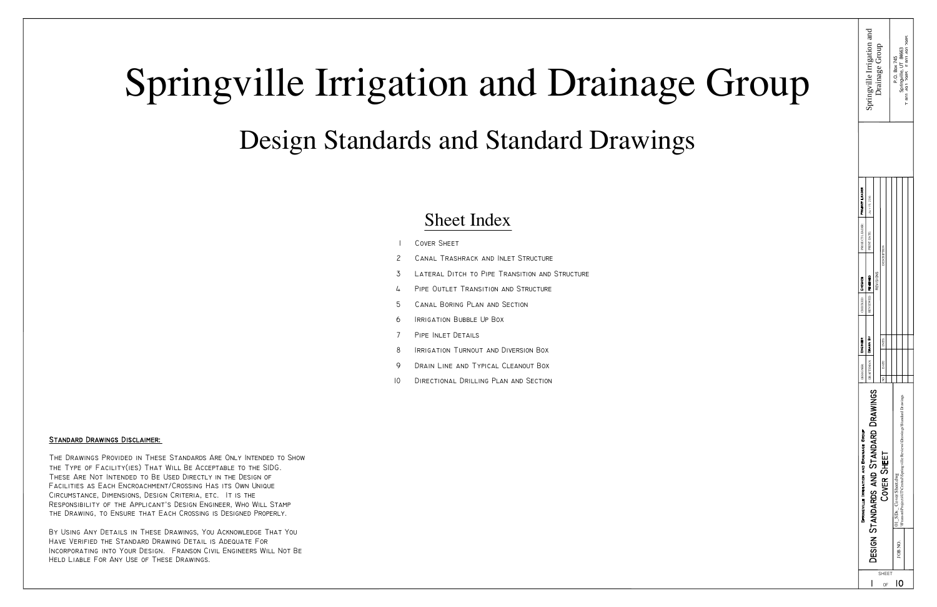# Springville Irrigation and Drainage Group

- Cover Sheet
- Canal Trashrack and Inlet Structure 2
- Lateral Ditch to Pipe Transition and Structure 3
- PIPE OUTLET TRANSITION AND STRUCTURE 4
- Canal Boring Plan and Section 5
- Irrigation Bubble Up Box 6
- Pipe Inlet Details 7
- Irrigation Turnout and Diversion Box 8
- Drain Line and Typical Cleanout Box  $\mathsf{o}$
- Directional Drilling Plan and Section 10

Design Standards and Standard Drawings

### Sheet Index

#### Standard Drawings Disclaimer:

The Drawings Provided in These Standards Are Only Intended to Show the Type of Facility(ies) That Will Be Acceptable to the SIDG. These Are Not Intended to Be Used Directly in the Design of Facilities as Each Encroachment/Crossing Has its Own Unique Circumstance, Dimensions, Design Criteria, etc. It is the Responsibility of the Applicant's Design Engineer, Who Will Stamp the Drawing, to Ensure that Each Crossing is Designed Properly.

By Using Any Details in These Drawings, You Acknowledge That You Have Verified the Standard Drawing Detail is Adequate For Incorporating into Your Design. Franson Civil Engineers Will Not Be Held Liable For Any Use of These Drawings.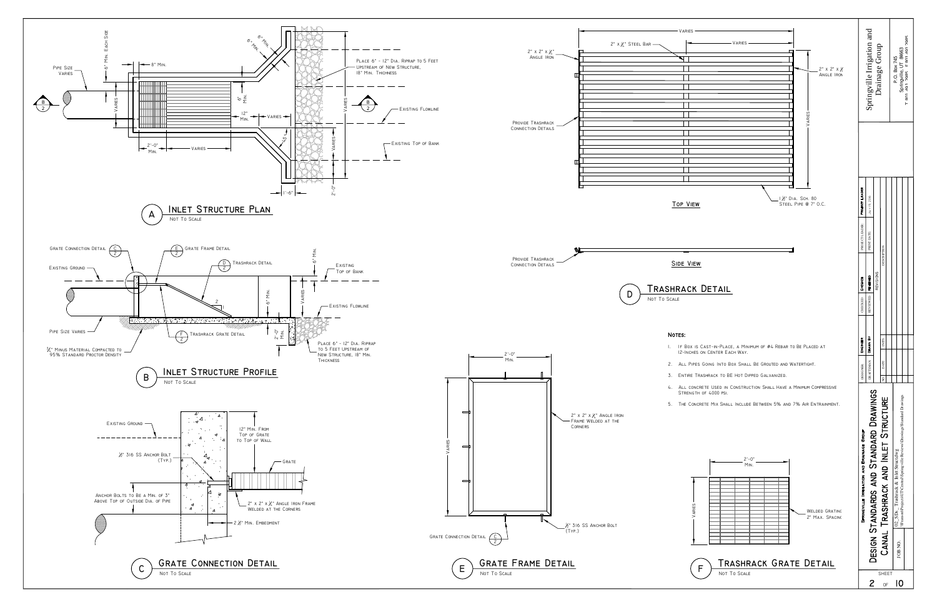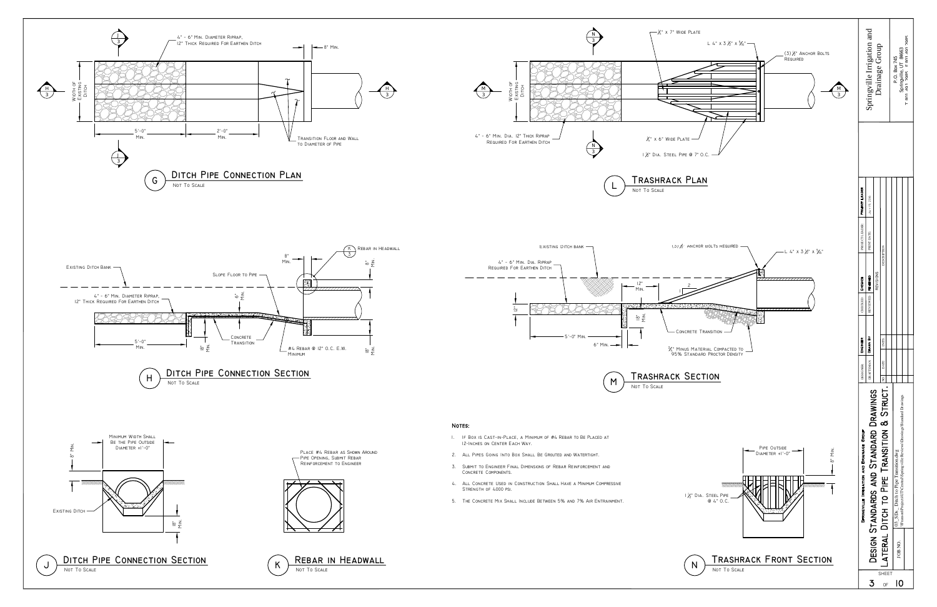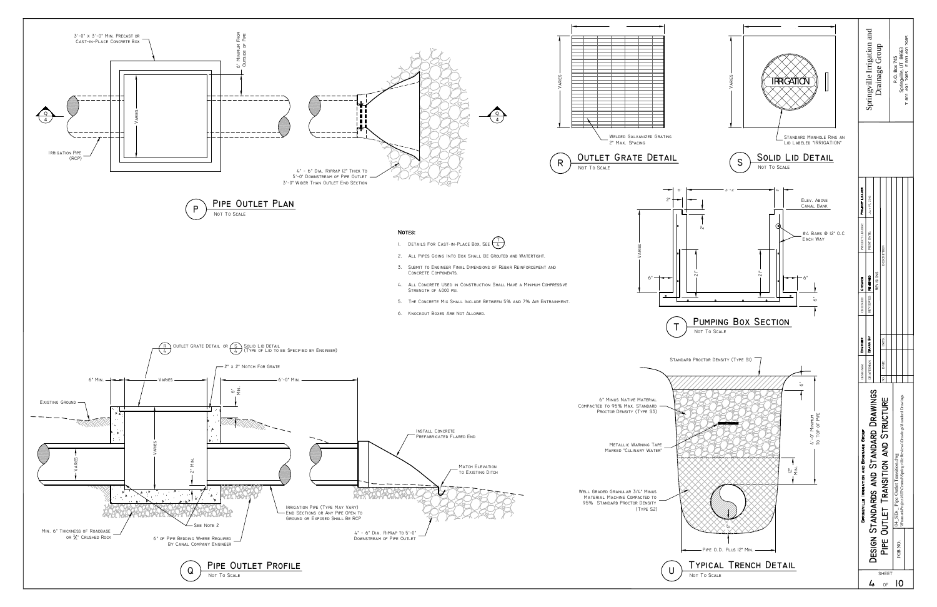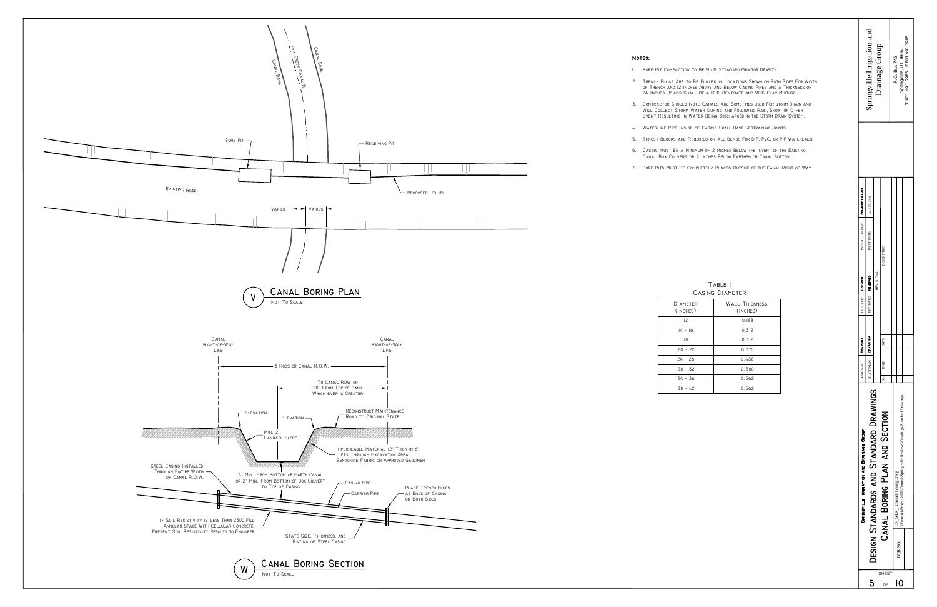



| TABLE I         |
|-----------------|
| CASING DIAMETER |

| TER<br>ES) | <b>WALL THICKNESS</b><br>(INCHES) |
|------------|-----------------------------------|
|            | 0.188                             |
| 16         | 0.312                             |
|            | 0.312                             |
| 22         | 0.375                             |
| 26         | 0.438                             |
| 32         | 0.500                             |
| 36         | 0.562                             |
| 42         | 0.562                             |

1. Bore Pit Compaction to Be 95% Standard Proctor Density.

- 2. Trench Plugs Are to Be Placed in Locations Shown on Both Sides For Width of Trench and 12 Inches Above and Below Casing Pipes and a Thickness of 24 Inches. Plugs Shall Be a 10% Bentonite and 90% Clay Mixture.
- 3. Contractor Should Note Canals Are Sometimes Used For storm Drain and Will Collect Storm Water During and Following Rain, Snow, or Other Event Resulting in Water Being Discharged in the Storm Drain System.
- 4. Waterline Pipe Inside of Casing Shall Have Restraining Joints.
- 5. Thrust Blocks are Required on All Bends For DIP, PVC, or PIP Waterlines.
- 6. Casing Must Be a Minimum of 2 Inches Below the Invert of the Existing Canal Box Culvert or 4 Inches Below Earthen or Canal Bottom.
- 7. Bore Pits Must Be Completely Placed Outside of the Canal Right−of−Way.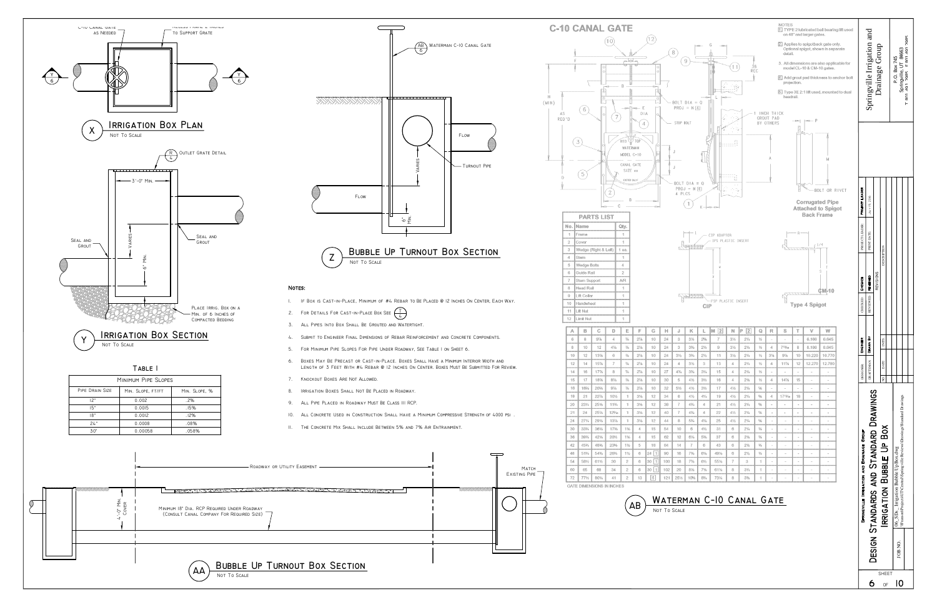$6$  of 10 SHEET

DESI



## **Z** BUBBLE UP TURNOUT BOX SECTION

#### NOTES:

JOB NO.









- 1. If Box is Cast−in−Place, Minimum of #4 Rebar to Be Placed @ 12 Inches On Center, Each Way.
- 2. For Details For Cast−in−Place Box See  $\begin{pmatrix} \top \\ 4 \end{pmatrix}$
- 3. All Pipes Into Box Shall Be Grouted and Watertight.
- 4. Submit to Engineer Final Dimensions of Rebar Reinforcement and Concrete Components.
- 5. For Minimum Pipe Slopes For Pipe Under Roadway, See Table 1 on Sheet 6.
- 6. Boxes May Be Precast or Cast−in−Place. Boxes Shall Have a Minimum Interior Width and Length of 3 Feet With #4 Rebar @ 12 Inches On Center. Boxes Must Be Submitted For Review.
- 7. Knockout Boxes Are Not Allowed.
- 8. Irrigation Boxes Shall Not Be Placed in Roadway.
- 9. All Pipe Placed in Roadway Must Be Class III RCP.
- 10. ALL CONCRETE USED IN CONSTRUCTION SHALL HAVE A MINIMUM COMPRESSIVE STRENGTH OF 4000 PSI
- 11. The Concrete Mix Shall Include Between 5% and 7% Air Entrainment.

|                 | MINIMUM PIPE SLOPES |               |
|-----------------|---------------------|---------------|
| PIPE DRAIN SIZE | MIN. SLOPE, FT/FT   | MIN. SLOPE, % |
| 12"             | 0.002               | .2%           |
| 15"             | 0.0015              | .15%          |
| 18"             | 0.0012              | .12%          |
| 24"             | 0.0008              | .08%          |
| 30"             | 0.00058             | .058%         |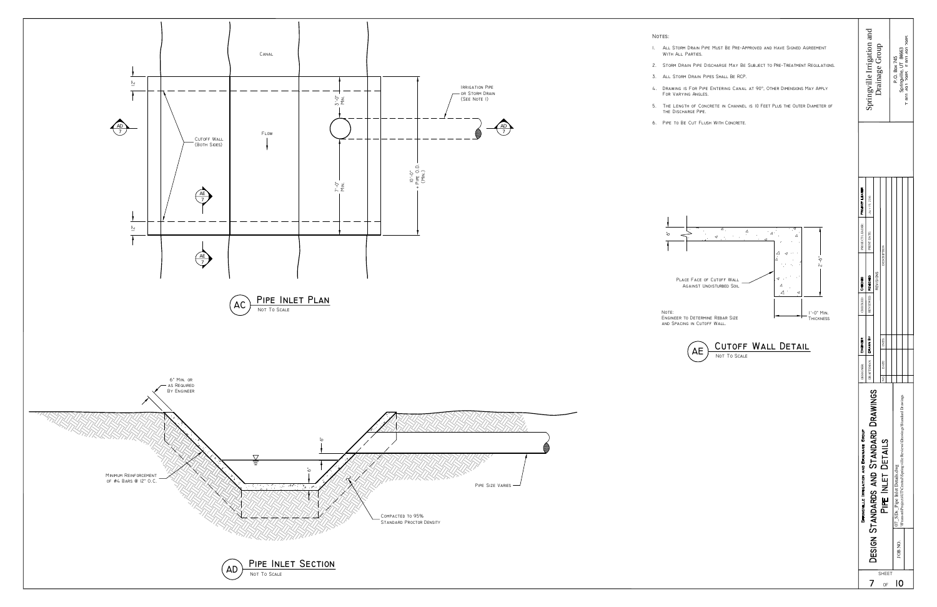

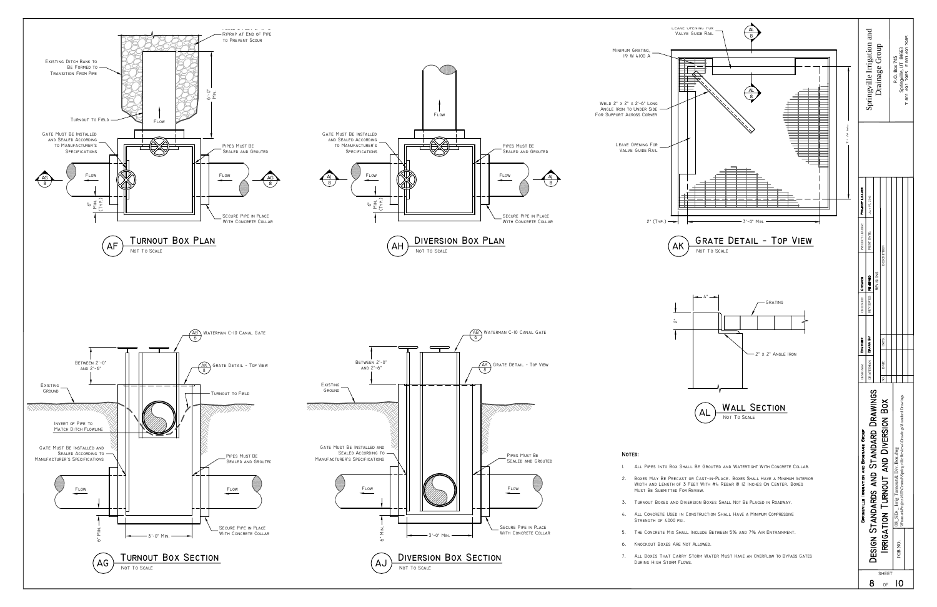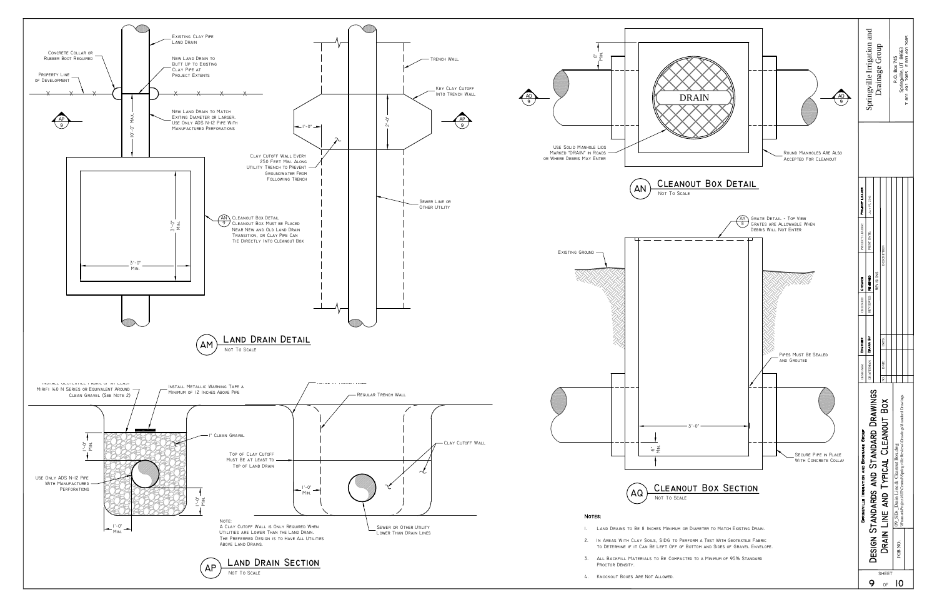